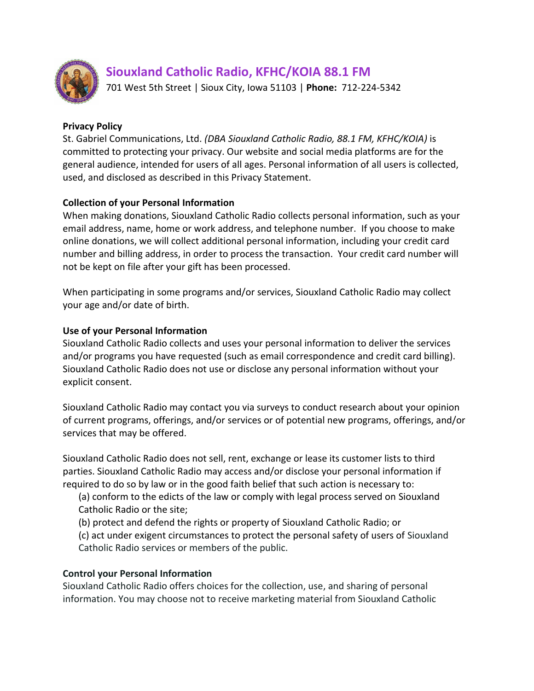

# **Siouxland Catholic Radio, KFHC/KOIA 88.1 FM**

701 West 5th Street | Sioux City, Iowa 51103 | **Phone:** 712-224-5342

### **Privacy Policy**

St. Gabriel Communications, Ltd. *(DBA Siouxland Catholic Radio, 88.1 FM, KFHC/KOIA)* is committed to protecting your privacy. Our website and social media platforms are for the general audience, intended for users of all ages. Personal information of all users is collected, used, and disclosed as described in this Privacy Statement.

### **Collection of your Personal Information**

When making donations, Siouxland Catholic Radio collects personal information, such as your email address, name, home or work address, and telephone number. If you choose to make online donations, we will collect additional personal information, including your credit card number and billing address, in order to process the transaction. Your credit card number will not be kept on file after your gift has been processed.

When participating in some programs and/or services, Siouxland Catholic Radio may collect your age and/or date of birth.

### **Use of your Personal Information**

Siouxland Catholic Radio collects and uses your personal information to deliver the services and/or programs you have requested (such as email correspondence and credit card billing). Siouxland Catholic Radio does not use or disclose any personal information without your explicit consent.

Siouxland Catholic Radio may contact you via surveys to conduct research about your opinion of current programs, offerings, and/or services or of potential new programs, offerings, and/or services that may be offered.

Siouxland Catholic Radio does not sell, rent, exchange or lease its customer lists to third parties. Siouxland Catholic Radio may access and/or disclose your personal information if required to do so by law or in the good faith belief that such action is necessary to:

(a) conform to the edicts of the law or comply with legal process served on Siouxland Catholic Radio or the site;

(b) protect and defend the rights or property of Siouxland Catholic Radio; or

(c) act under exigent circumstances to protect the personal safety of users of Siouxland Catholic Radio services or members of the public.

# **Control your Personal Information**

Siouxland Catholic Radio offers choices for the collection, use, and sharing of personal information. You may choose not to receive marketing material from Siouxland Catholic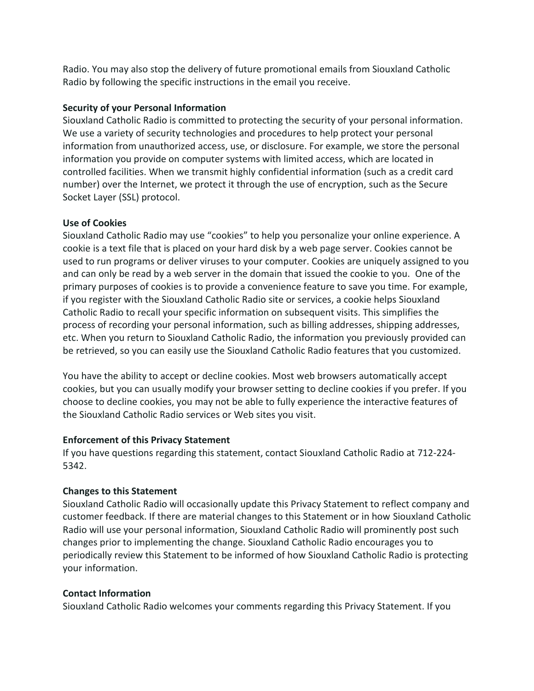Radio. You may also stop the delivery of future promotional emails from Siouxland Catholic Radio by following the specific instructions in the email you receive.

# **Security of your Personal Information**

Siouxland Catholic Radio is committed to protecting the security of your personal information. We use a variety of security technologies and procedures to help protect your personal information from unauthorized access, use, or disclosure. For example, we store the personal information you provide on computer systems with limited access, which are located in controlled facilities. When we transmit highly confidential information (such as a credit card number) over the Internet, we protect it through the use of encryption, such as the Secure Socket Layer (SSL) protocol.

# **Use of Cookies**

Siouxland Catholic Radio may use "cookies" to help you personalize your online experience. A cookie is a text file that is placed on your hard disk by a web page server. Cookies cannot be used to run programs or deliver viruses to your computer. Cookies are uniquely assigned to you and can only be read by a web server in the domain that issued the cookie to you. One of the primary purposes of cookies is to provide a convenience feature to save you time. For example, if you register with the Siouxland Catholic Radio site or services, a cookie helps Siouxland Catholic Radio to recall your specific information on subsequent visits. This simplifies the process of recording your personal information, such as billing addresses, shipping addresses, etc. When you return to Siouxland Catholic Radio, the information you previously provided can be retrieved, so you can easily use the Siouxland Catholic Radio features that you customized.

You have the ability to accept or decline cookies. Most web browsers automatically accept cookies, but you can usually modify your browser setting to decline cookies if you prefer. If you choose to decline cookies, you may not be able to fully experience the interactive features of the Siouxland Catholic Radio services or Web sites you visit.

# **Enforcement of this Privacy Statement**

If you have questions regarding this statement, contact Siouxland Catholic Radio at 712-224- 5342.

# **Changes to this Statement**

Siouxland Catholic Radio will occasionally update this Privacy Statement to reflect company and customer feedback. If there are material changes to this Statement or in how Siouxland Catholic Radio will use your personal information, Siouxland Catholic Radio will prominently post such changes prior to implementing the change. Siouxland Catholic Radio encourages you to periodically review this Statement to be informed of how Siouxland Catholic Radio is protecting your information.

# **Contact Information**

Siouxland Catholic Radio welcomes your comments regarding this Privacy Statement. If you